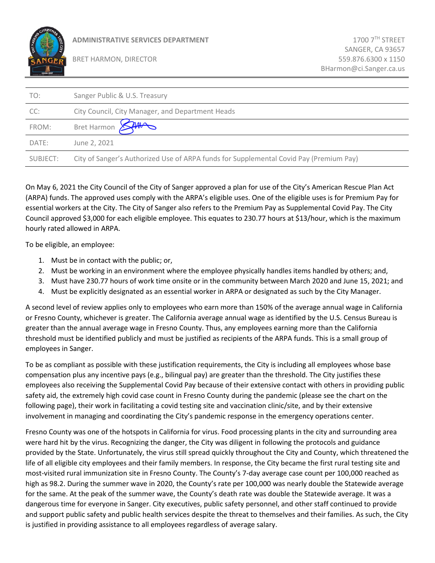

## **ADMINISTRATIVE SERVICES DEPARTMENT**

BRET HARMON, DIRECTOR

| TO:      | Sanger Public & U.S. Treasury                                                          |
|----------|----------------------------------------------------------------------------------------|
| CC:      | City Council, City Manager, and Department Heads                                       |
| FROM:    | Bret Harmon SAM                                                                        |
| DATE:    | June 2, 2021                                                                           |
| SUBJECT: | City of Sanger's Authorized Use of ARPA funds for Supplemental Covid Pay (Premium Pay) |

On May 6, 2021 the City Council of the City of Sanger approved a plan for use of the City's American Rescue Plan Act (ARPA) funds. The approved uses comply with the ARPA's eligible uses. One of the eligible uses is for Premium Pay for essential workers at the City. The City of Sanger also refers to the Premium Pay as Supplemental Covid Pay. The City Council approved \$3,000 for each eligible employee. This equates to 230.77 hours at \$13/hour, which is the maximum hourly rated allowed in ARPA.

To be eligible, an employee:

- 1. Must be in contact with the public; or,
- 2. Must be working in an environment where the employee physically handles items handled by others; and,
- 3. Must have 230.77 hours of work time onsite or in the community between March 2020 and June 15, 2021; and
- 4. Must be explicitly designated as an essential worker in ARPA or designated as such by the City Manager.

A second level of review applies only to employees who earn more than 150% of the average annual wage in California or Fresno County, whichever is greater. The California average annual wage as identified by the U.S. Census Bureau is greater than the annual average wage in Fresno County. Thus, any employees earning more than the California threshold must be identified publicly and must be justified as recipients of the ARPA funds. This is a small group of employees in Sanger.

To be as compliant as possible with these justification requirements, the City is including all employees whose base compensation plus any incentive pays (e.g., bilingual pay) are greater than the threshold. The City justifies these employees also receiving the Supplemental Covid Pay because of their extensive contact with others in providing public safety aid, the extremely high covid case count in Fresno County during the pandemic (please see the chart on the following page), their work in facilitating a covid testing site and vaccination clinic/site, and by their extensive involvement in managing and coordinating the City's pandemic response in the emergency operations center.

Fresno County was one of the hotspots in California for virus. Food processing plants in the city and surrounding area were hard hit by the virus. Recognizing the danger, the City was diligent in following the protocols and guidance provided by the State. Unfortunately, the virus still spread quickly throughout the City and County, which threatened the life of all eligible city employees and their family members. In response, the City became the first rural testing site and most-visited rural immunization site in Fresno County. The County's 7-day average case count per 100,000 reached as high as 98.2. During the summer wave in 2020, the County's rate per 100,000 was nearly double the Statewide average for the same. At the peak of the summer wave, the County's death rate was double the Statewide average. It was a dangerous time for everyone in Sanger. City executives, public safety personnel, and other staff continued to provide and support public safety and public health services despite the threat to themselves and their families. As such, the City is justified in providing assistance to all employees regardless of average salary.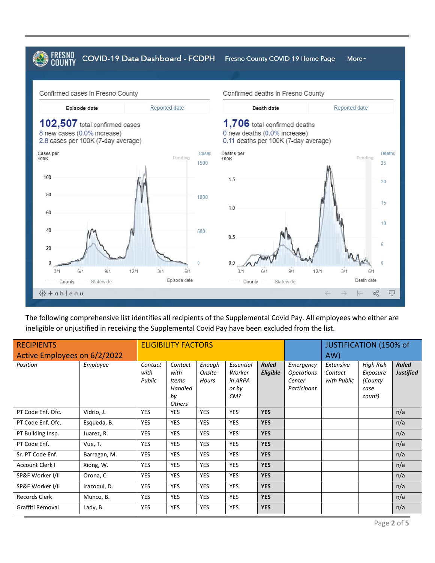

The following comprehensive list identifies all recipients of the Supplemental Covid Pay. All employees who either are ineligible or unjustified in receiving the Supplemental Covid Pay have been excluded from the list.

| <b>RECIPIENTS</b>            |              |                           | <b>ELIGIBILITY FACTORS</b>                                 |                           |                                                |                          | <b>JUSTIFICATION (150% of</b>                           |                                     |                                                           |                                  |  |
|------------------------------|--------------|---------------------------|------------------------------------------------------------|---------------------------|------------------------------------------------|--------------------------|---------------------------------------------------------|-------------------------------------|-----------------------------------------------------------|----------------------------------|--|
| Active Employees on 6/2/2022 |              |                           |                                                            |                           |                                                |                          |                                                         | AW)                                 |                                                           |                                  |  |
| Position                     | Employee     | Contact<br>with<br>Public | Contact<br>with<br>Items<br>Handled<br>by<br><b>Others</b> | Enough<br>Onsite<br>Hours | Essential<br>Worker<br>in ARPA<br>or by<br>CM? | <b>Ruled</b><br>Eligible | Emergency<br><b>Operations</b><br>Center<br>Participant | Extensive<br>Contact<br>with Public | <b>High Risk</b><br>Exposure<br>(County<br>case<br>count) | <b>Ruled</b><br><b>Justified</b> |  |
| PT Code Enf. Ofc.            | Vidrio, J.   | YES                       | <b>YES</b>                                                 | <b>YES</b>                | YES                                            | <b>YES</b>               |                                                         |                                     |                                                           | n/a                              |  |
| PT Code Enf. Ofc.            | Esqueda, B.  | YES                       | <b>YES</b>                                                 | <b>YES</b>                | <b>YES</b>                                     | <b>YES</b>               |                                                         |                                     |                                                           | n/a                              |  |
| PT Building Insp.            | Juarez, R.   | <b>YES</b>                | <b>YES</b>                                                 | <b>YES</b>                | <b>YES</b>                                     | <b>YES</b>               |                                                         |                                     |                                                           | n/a                              |  |
| PT Code Enf.                 | Vue, T.      | <b>YES</b>                | <b>YES</b>                                                 | <b>YES</b>                | <b>YES</b>                                     | <b>YES</b>               |                                                         |                                     |                                                           | n/a                              |  |
| Sr. PT Code Enf.             | Barragan, M. | <b>YES</b>                | <b>YES</b>                                                 | <b>YES</b>                | <b>YES</b>                                     | <b>YES</b>               |                                                         |                                     |                                                           | n/a                              |  |
| <b>Account Clerk I</b>       | Xiong, W.    | YES                       | <b>YES</b>                                                 | <b>YES</b>                | <b>YES</b>                                     | <b>YES</b>               |                                                         |                                     |                                                           | n/a                              |  |
| SP&F Worker I/II             | Orona, C.    | <b>YES</b>                | <b>YES</b>                                                 | <b>YES</b>                | <b>YES</b>                                     | <b>YES</b>               |                                                         |                                     |                                                           | n/a                              |  |
| SP&F Worker I/II             | Irazoqui, D. | <b>YES</b>                | <b>YES</b>                                                 | <b>YES</b>                | <b>YES</b>                                     | <b>YES</b>               |                                                         |                                     |                                                           | n/a                              |  |
| <b>Records Clerk</b>         | Munoz, B.    | YES                       | <b>YES</b>                                                 | <b>YES</b>                | YES                                            | <b>YES</b>               |                                                         |                                     |                                                           | n/a                              |  |
| Graffiti Removal             | Lady, B.     | YES                       | <b>YES</b>                                                 | <b>YES</b>                | YES                                            | <b>YES</b>               |                                                         |                                     |                                                           | n/a                              |  |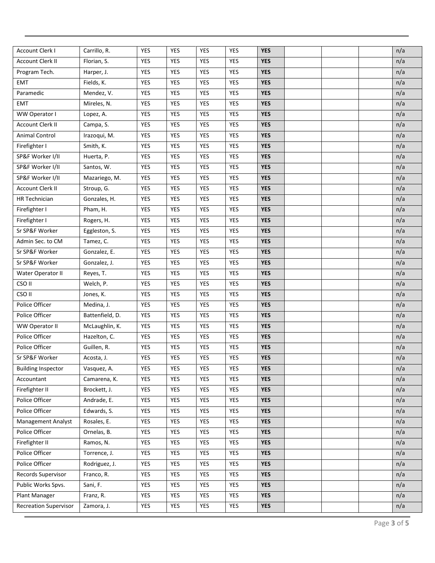| Account Clerk I           | Carrillo, R.    | YES        | <b>YES</b> | <b>YES</b> | <b>YES</b> | <b>YES</b> |  | n/a |
|---------------------------|-----------------|------------|------------|------------|------------|------------|--|-----|
| Account Clerk II          | Florian, S.     | YES        | <b>YES</b> | <b>YES</b> | YES        | <b>YES</b> |  | n/a |
| Program Tech.             | Harper, J.      | YES        | <b>YES</b> | <b>YES</b> | <b>YES</b> | <b>YES</b> |  | n/a |
| <b>EMT</b>                | Fields, K.      | YES        | YES        | YES        | YES        | <b>YES</b> |  | n/a |
| Paramedic                 | Mendez, V.      | YES        | <b>YES</b> | <b>YES</b> | YES        | <b>YES</b> |  | n/a |
| EMT                       | Mireles, N.     | YES        | YES        | YES        | YES        | <b>YES</b> |  | n/a |
| WW Operator I             | Lopez, A.       | YES        | <b>YES</b> | <b>YES</b> | YES        | <b>YES</b> |  | n/a |
| Account Clerk II          | Campa, S.       | YES        | YES        | YES        | YES        | <b>YES</b> |  | n/a |
| Animal Control            | Irazoqui, M.    | <b>YES</b> | <b>YES</b> | <b>YES</b> | YES        | <b>YES</b> |  | n/a |
| Firefighter I             | Smith, K.       | YES        | YES        | <b>YES</b> | YES        | <b>YES</b> |  | n/a |
| SP&F Worker I/II          | Huerta, P.      | YES        | <b>YES</b> | <b>YES</b> | <b>YES</b> | <b>YES</b> |  | n/a |
| SP&F Worker I/II          | Santos, W.      | <b>YES</b> | YES        | YES        | YES        | <b>YES</b> |  | n/a |
| SP&F Worker I/II          | Mazariego, M.   | YES        | <b>YES</b> | <b>YES</b> | <b>YES</b> | <b>YES</b> |  | n/a |
| Account Clerk II          | Stroup, G.      | YES        | YES        | YES        | YES        | <b>YES</b> |  | n/a |
| HR Technician             | Gonzales, H.    | YES        | <b>YES</b> | <b>YES</b> | <b>YES</b> | <b>YES</b> |  | n/a |
| Firefighter I             | Pham, H.        | <b>YES</b> | YES        | YES        | YES        | <b>YES</b> |  | n/a |
| Firefighter I             | Rogers, H.      | YES        | YES        | <b>YES</b> | <b>YES</b> | <b>YES</b> |  | n/a |
| Sr SP&F Worker            | Eggleston, S.   | YES        | YES        | YES        | YES        | <b>YES</b> |  | n/a |
| Admin Sec. to CM          | Tamez, C.       | YES        | <b>YES</b> | YES        | YES        | <b>YES</b> |  | n/a |
| Sr SP&F Worker            | Gonzalez, E.    | YES        | YES        | YES        | YES        | <b>YES</b> |  | n/a |
| Sr SP&F Worker            | Gonzalez, J.    | YES        | <b>YES</b> | YES        | <b>YES</b> | <b>YES</b> |  | n/a |
| Water Operator II         | Reyes, T.       | YES        | YES        | <b>YES</b> | YES        | <b>YES</b> |  | n/a |
| CSO II                    | Welch, P.       | <b>YES</b> | YES        | <b>YES</b> | YES        | <b>YES</b> |  | n/a |
| CSO II                    | Jones, K.       | <b>YES</b> | YES        | <b>YES</b> | YES        | <b>YES</b> |  | n/a |
| Police Officer            | Medina, J.      | YES        | YES        | YES        | <b>YES</b> | <b>YES</b> |  | n/a |
| Police Officer            | Battenfield, D. | <b>YES</b> | <b>YES</b> | <b>YES</b> | <b>YES</b> | <b>YES</b> |  | n/a |
| WW Operator II            | McLaughlin, K.  | <b>YES</b> | <b>YES</b> | <b>YES</b> | <b>YES</b> | <b>YES</b> |  | n/a |
| Police Officer            | Hazelton, C.    | <b>YES</b> | <b>YES</b> | <b>YES</b> | <b>YES</b> | <b>YES</b> |  | n/a |
| Police Officer            | Guillen, R.     | YES        | YES        | YES        | YES        | <b>YES</b> |  | n/a |
| Sr SP&F Worker            | Acosta, J.      | YES        | YES        | <b>YES</b> | <b>YES</b> | <b>YES</b> |  | n/a |
| <b>Building Inspector</b> | Vasquez, A.     | YES        | YES        | <b>YES</b> | YES        | <b>YES</b> |  | n/a |
| Accountant                | Camarena, K.    | YES        | YES        | YES        | YES        | <b>YES</b> |  | n/a |
| Firefighter II            | Brockett, J.    | YES        | YES        | YES        | YES        | <b>YES</b> |  | n/a |
| Police Officer            | Andrade, E.     | YES        | YES        | YES        | YES        | <b>YES</b> |  | n/a |
| Police Officer            | Edwards, S.     | YES        | YES        | YES        | YES        | <b>YES</b> |  | n/a |
| Management Analyst        | Rosales, E.     | YES        | YES        | YES        | YES        | <b>YES</b> |  | n/a |
| Police Officer            | Ornelas, B.     | YES        | YES        | YES        | YES        | <b>YES</b> |  | n/a |
| Firefighter II            | Ramos, N.       | YES        | YES        | YES        | YES        | <b>YES</b> |  | n/a |
| Police Officer            | Torrence, J.    | YES        | YES        | YES        | YES        | <b>YES</b> |  | n/a |
| Police Officer            | Rodriguez, J.   | YES        | YES        | <b>YES</b> | YES        | <b>YES</b> |  | n/a |
| Records Supervisor        | Franco, R.      | <b>YES</b> | YES        | YES        | YES        | <b>YES</b> |  | n/a |
| Public Works Spvs.        | Sani, F.        | YES        | YES        | <b>YES</b> | <b>YES</b> | <b>YES</b> |  | n/a |
| Plant Manager             | Franz, R.       | <b>YES</b> | YES        | YES        | YES        | <b>YES</b> |  | n/a |
| Recreation Supervisor     | Zamora, J.      | YES        | YES        | YES        | YES        | <b>YES</b> |  | n/a |
|                           |                 |            |            |            |            |            |  |     |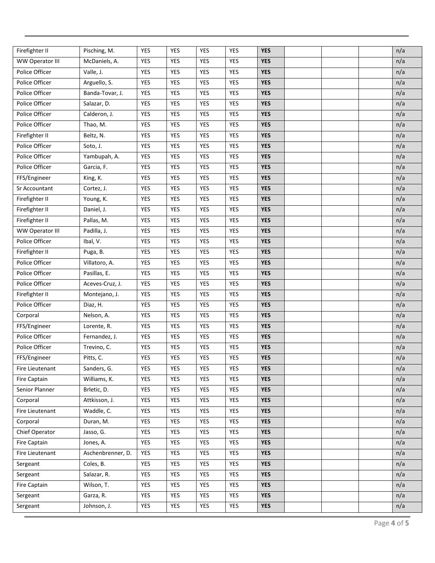| Firefighter II         | Pisching, M.      | <b>YES</b> | <b>YES</b> | YES        | YES        | <b>YES</b> |  | n/a |
|------------------------|-------------------|------------|------------|------------|------------|------------|--|-----|
| WW Operator III        | McDaniels, A.     | <b>YES</b> | <b>YES</b> | YES        | <b>YES</b> | <b>YES</b> |  | n/a |
| Police Officer         | Valle, J.         | <b>YES</b> | <b>YES</b> | YES        | <b>YES</b> | <b>YES</b> |  | n/a |
| Police Officer         | Arguello, S.      | YES        | YES        | <b>YES</b> | YES        | <b>YES</b> |  | n/a |
| Police Officer         | Banda-Tovar, J.   | <b>YES</b> | YES        | YES        | YES        | <b>YES</b> |  | n/a |
| Police Officer         | Salazar, D.       | YES        | YES        | <b>YES</b> | YES        | <b>YES</b> |  | n/a |
| Police Officer         | Calderon, J.      | YES        | YES        | YES        | YES        | <b>YES</b> |  | n/a |
| Police Officer         | Thao, M.          | YES        | YES        | YES        | YES        | <b>YES</b> |  | n/a |
| Firefighter II         | Beltz, N.         | YES        | YES        | YES        | YES        | <b>YES</b> |  | n/a |
| Police Officer         | Soto, J.          | YES        | YES        | <b>YES</b> | YES        | <b>YES</b> |  | n/a |
| Police Officer         | Yambupah, A.      | <b>YES</b> | YES        | YES        | <b>YES</b> | <b>YES</b> |  | n/a |
| Police Officer         | Garcia, F.        | <b>YES</b> | YES        | YES        | YES        | <b>YES</b> |  | n/a |
| FFS/Engineer           | King, K.          | <b>YES</b> | <b>YES</b> | YES        | <b>YES</b> | <b>YES</b> |  | n/a |
| Sr Accountant          | Cortez, J.        | <b>YES</b> | YES        | <b>YES</b> | YES        | <b>YES</b> |  | n/a |
|                        |                   |            |            |            |            |            |  |     |
| Firefighter II         | Young, K.         | <b>YES</b> | YES        | YES        | <b>YES</b> | <b>YES</b> |  | n/a |
| Firefighter II         | Daniel, J.        | <b>YES</b> | YES        | <b>YES</b> | <b>YES</b> | <b>YES</b> |  | n/a |
| Firefighter II         | Pallas, M.        | <b>YES</b> | YES        | YES        | YES        | <b>YES</b> |  | n/a |
| <b>WW Operator III</b> | Padilla, J.       | YES        | YES        | YES        | YES        | <b>YES</b> |  | n/a |
| Police Officer         | Ibal, V.          | <b>YES</b> | YES        | YES        | <b>YES</b> | <b>YES</b> |  | n/a |
| Firefighter II         | Puga, B.          | YES        | YES        | YES        | YES        | <b>YES</b> |  | n/a |
| Police Officer         | Villatoro, A.     | YES        | <b>YES</b> | YES        | <b>YES</b> | <b>YES</b> |  | n/a |
| Police Officer         | Pasillas, E.      | YES        | YES        | <b>YES</b> | YES        | <b>YES</b> |  | n/a |
| Police Officer         | Aceves-Cruz, J.   | <b>YES</b> | YES        | YES        | YES        | <b>YES</b> |  | n/a |
| Firefighter II         | Montejano, J.     | YES        | <b>YES</b> | <b>YES</b> | YES        | <b>YES</b> |  | n/a |
| Police Officer         | Diaz, H.          | <b>YES</b> | YES        | YES        | <b>YES</b> | <b>YES</b> |  | n/a |
| Corporal               | Nelson, A.        | <b>YES</b> | YES        | YES        | <b>YES</b> | <b>YES</b> |  | n/a |
| FFS/Engineer           | Lorente, R.       | <b>YES</b> | YES        | <b>YES</b> | <b>YES</b> | <b>YES</b> |  | n/a |
| Police Officer         | Fernandez, J.     | <b>YES</b> | <b>YES</b> | <b>YES</b> | <b>YES</b> | <b>YES</b> |  | n/a |
| Police Officer         | Trevino, C.       | YES        | YES        | YES        | YES        | <b>YES</b> |  | n/a |
| FFS/Engineer           | Pitts, C.         | <b>YES</b> | YES        | YES        | YES        | <b>YES</b> |  | n/a |
| Fire Lieutenant        | Sanders, G.       | <b>YES</b> | YES        | YES        | YES        | <b>YES</b> |  | n/a |
| Fire Captain           | Williams, K.      | <b>YES</b> | YES        | YES        | YES        | <b>YES</b> |  | n/a |
| Senior Planner         | Brletic, D.       | <b>YES</b> | YES        | YES        | YES        | <b>YES</b> |  | n/a |
| Corporal               | Attkisson, J.     | <b>YES</b> | YES        | YES        | YES        | <b>YES</b> |  | n/a |
| Fire Lieutenant        | Waddle, C.        | YES        | YES        | YES        | YES        | <b>YES</b> |  | n/a |
| Corporal               | Duran, M.         | YES        | YES        | YES        | YES        | <b>YES</b> |  | n/a |
| Chief Operator         | Jasso, G.         | YES        | YES        | <b>YES</b> | YES        | <b>YES</b> |  | n/a |
| Fire Captain           | Jones, A.         | <b>YES</b> | YES        | YES        | YES        | <b>YES</b> |  | n/a |
| Fire Lieutenant        | Aschenbrenner, D. | YES        | YES        | YES        | YES        | <b>YES</b> |  | n/a |
| Sergeant               | Coles, B.         | YES        | YES        | YES        | YES        | <b>YES</b> |  | n/a |
| Sergeant               | Salazar, R.       | <b>YES</b> | YES        | YES        | YES        | <b>YES</b> |  | n/a |
| Fire Captain           | Wilson, T.        | <b>YES</b> | YES        | YES        | <b>YES</b> | <b>YES</b> |  | n/a |
| Sergeant               | Garza, R.         | <b>YES</b> | YES        | YES        | YES        | <b>YES</b> |  | n/a |
| Sergeant               | Johnson, J.       | YES        | YES        | YES        | YES        | <b>YES</b> |  | n/a |
|                        |                   |            |            |            |            |            |  |     |